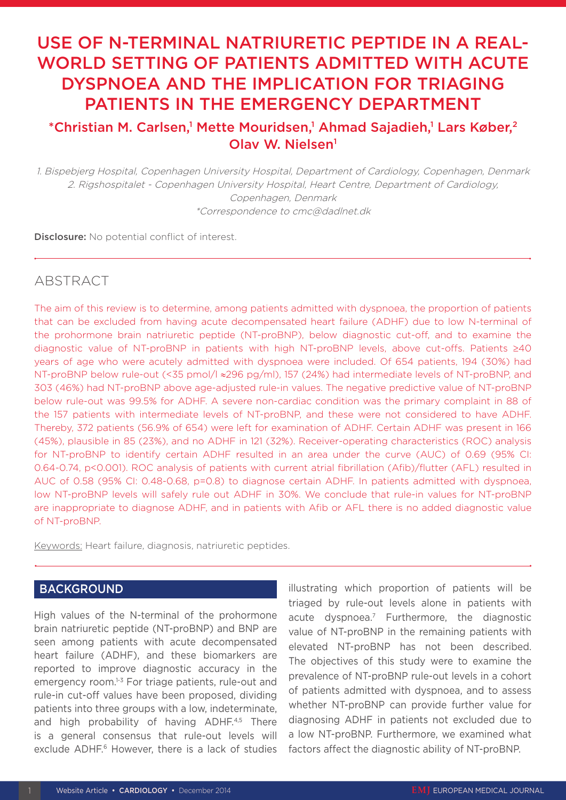# USE OF N-TERMINAL NATRIURETIC PEPTIDE IN A REAL-WORLD SETTING OF PATIENTS ADMITTED WITH ACUTE DYSPNOEA AND THE IMPLICATION FOR TRIAGING PATIENTS IN THE EMERGENCY DEPARTMENT

## \*Christian M. Carlsen,<sup>1</sup> Mette Mouridsen,<sup>1</sup> Ahmad Sajadieh,<sup>1</sup> Lars Køber,<sup>2</sup> Olav W. Nielsen1

1. Bispebjerg Hospital, Copenhagen University Hospital, Department of Cardiology, Copenhagen, Denmark 2. Rigshospitalet - Copenhagen University Hospital, Heart Centre, Department of Cardiology, Copenhagen, Denmark \*Correspondence to cmc@dadlnet.dk

Disclosure: No potential conflict of interest.

## ABSTRACT

The aim of this review is to determine, among patients admitted with dyspnoea, the proportion of patients that can be excluded from having acute decompensated heart failure (ADHF) due to low N-terminal of the prohormone brain natriuretic peptide (NT-proBNP), below diagnostic cut-off, and to examine the diagnostic value of NT-proBNP in patients with high NT-proBNP levels, above cut-offs. Patients ≥40 years of age who were acutely admitted with dyspnoea were included. Of 654 patients, 194 (30%) had NT-proBNP below rule-out (<35 pmol/l ≈296 pg/ml), 157 (24%) had intermediate levels of NT-proBNP, and 303 (46%) had NT-proBNP above age-adjusted rule-in values. The negative predictive value of NT-proBNP below rule-out was 99.5% for ADHF. A severe non-cardiac condition was the primary complaint in 88 of the 157 patients with intermediate levels of NT-proBNP, and these were not considered to have ADHF. Thereby, 372 patients (56.9% of 654) were left for examination of ADHF. Certain ADHF was present in 166 (45%), plausible in 85 (23%), and no ADHF in 121 (32%). Receiver-operating characteristics (ROC) analysis for NT-proBNP to identify certain ADHF resulted in an area under the curve (AUC) of 0.69 (95% CI: 0.64-0.74, p<0.001). ROC analysis of patients with current atrial fibrillation (Afib)/flutter (AFL) resulted in AUC of 0.58 (95% CI: 0.48-0.68, p=0.8) to diagnose certain ADHF. In patients admitted with dyspnoea, low NT-proBNP levels will safely rule out ADHF in 30%. We conclude that rule-in values for NT-proBNP are inappropriate to diagnose ADHF, and in patients with Afib or AFL there is no added diagnostic value of NT-proBNP.

Keywords: Heart failure, diagnosis, natriuretic peptides.

## **BACKGROUND**

High values of the N-terminal of the prohormone brain natriuretic peptide (NT-proBNP) and BNP are seen among patients with acute decompensated heart failure (ADHF), and these biomarkers are reported to improve diagnostic accuracy in the emergency room.1-3 For triage patients, rule-out and rule-in cut-off values have been proposed, dividing patients into three groups with a low, indeterminate, and high probability of having ADHF.<sup>4,5</sup> There is a general consensus that rule-out levels will exclude ADHF.<sup>6</sup> However, there is a lack of studies illustrating which proportion of patients will be triaged by rule-out levels alone in patients with acute dyspnoea.7 Furthermore, the diagnostic value of NT-proBNP in the remaining patients with elevated NT-proBNP has not been described. The objectives of this study were to examine the prevalence of NT-proBNP rule-out levels in a cohort of patients admitted with dyspnoea, and to assess whether NT-proBNP can provide further value for diagnosing ADHF in patients not excluded due to a low NT-proBNP. Furthermore, we examined what factors affect the diagnostic ability of NT-proBNP.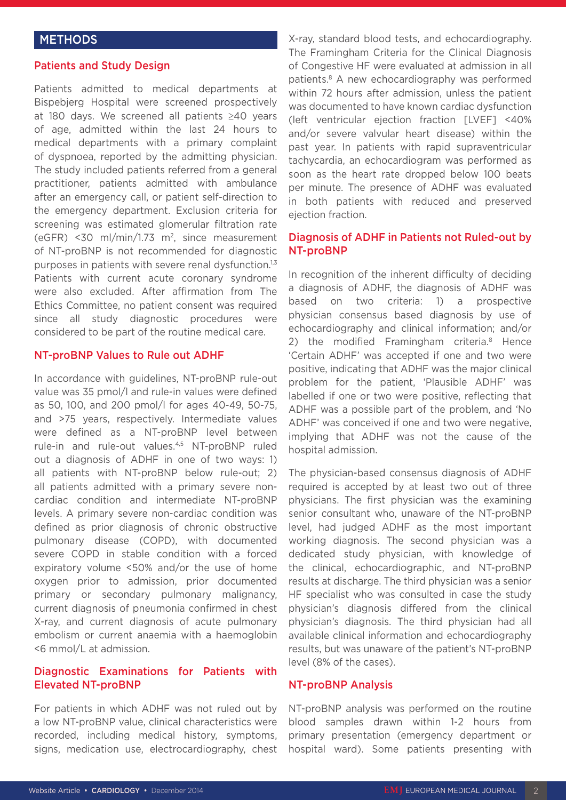## **METHODS**

#### Patients and Study Design

Patients admitted to medical departments at Bispebjerg Hospital were screened prospectively at 180 days. We screened all patients ≥40 years of age, admitted within the last 24 hours to medical departments with a primary complaint of dyspnoea, reported by the admitting physician. The study included patients referred from a general practitioner, patients admitted with ambulance after an emergency call, or patient self-direction to the emergency department. Exclusion criteria for screening was estimated glomerular filtration rate (eGFR) <30 ml/min/1.73 m2, since measurement of NT-proBNP is not recommended for diagnostic purposes in patients with severe renal dysfunction.<sup>1,3</sup> Patients with current acute coronary syndrome were also excluded. After affirmation from The Ethics Committee, no patient consent was required since all study diagnostic procedures were considered to be part of the routine medical care.

#### NT-proBNP Values to Rule out ADHF

In accordance with guidelines, NT-proBNP rule-out value was 35 pmol/l and rule-in values were defined as 50, 100, and 200 pmol/l for ages 40-49, 50-75, and >75 years, respectively. Intermediate values were defined as a NT-proBNP level between rule-in and rule-out values.4,5 NT-proBNP ruled out a diagnosis of ADHF in one of two ways: 1) all patients with NT-proBNP below rule-out; 2) all patients admitted with a primary severe noncardiac condition and intermediate NT-proBNP levels. A primary severe non-cardiac condition was defined as prior diagnosis of chronic obstructive pulmonary disease (COPD), with documented severe COPD in stable condition with a forced expiratory volume <50% and/or the use of home oxygen prior to admission, prior documented primary or secondary pulmonary malignancy, current diagnosis of pneumonia confirmed in chest X-ray, and current diagnosis of acute pulmonary embolism or current anaemia with a haemoglobin <6 mmol/L at admission.

## Diagnostic Examinations for Patients with Elevated NT-proBNP

For patients in which ADHF was not ruled out by a low NT-proBNP value, clinical characteristics were recorded, including medical history, symptoms, signs, medication use, electrocardiography, chest

X-ray, standard blood tests, and echocardiography. The Framingham Criteria for the Clinical Diagnosis of Congestive HF were evaluated at admission in all patients.8 A new echocardiography was performed within 72 hours after admission, unless the patient was documented to have known cardiac dysfunction (left ventricular ejection fraction [LVEF] <40% and/or severe valvular heart disease) within the past year. In patients with rapid supraventricular tachycardia, an echocardiogram was performed as soon as the heart rate dropped below 100 beats per minute. The presence of ADHF was evaluated in both patients with reduced and preserved ejection fraction.

## Diagnosis of ADHF in Patients not Ruled-out by NT-proBNP

In recognition of the inherent difficulty of deciding a diagnosis of ADHF, the diagnosis of ADHF was based on two criteria: 1) a prospective physician consensus based diagnosis by use of echocardiography and clinical information; and/or 2) the modified Framingham criteria.<sup>8</sup> Hence 'Certain ADHF' was accepted if one and two were positive, indicating that ADHF was the major clinical problem for the patient, 'Plausible ADHF' was labelled if one or two were positive, reflecting that ADHF was a possible part of the problem, and 'No ADHF' was conceived if one and two were negative, implying that ADHF was not the cause of the hospital admission.

The physician-based consensus diagnosis of ADHF required is accepted by at least two out of three physicians. The first physician was the examining senior consultant who, unaware of the NT-proBNP level, had judged ADHF as the most important working diagnosis. The second physician was a dedicated study physician, with knowledge of the clinical, echocardiographic, and NT-proBNP results at discharge. The third physician was a senior HF specialist who was consulted in case the study physician's diagnosis differed from the clinical physician's diagnosis. The third physician had all available clinical information and echocardiography results, but was unaware of the patient's NT-proBNP level (8% of the cases).

#### NT-proBNP Analysis

NT-proBNP analysis was performed on the routine blood samples drawn within 1-2 hours from primary presentation (emergency department or hospital ward). Some patients presenting with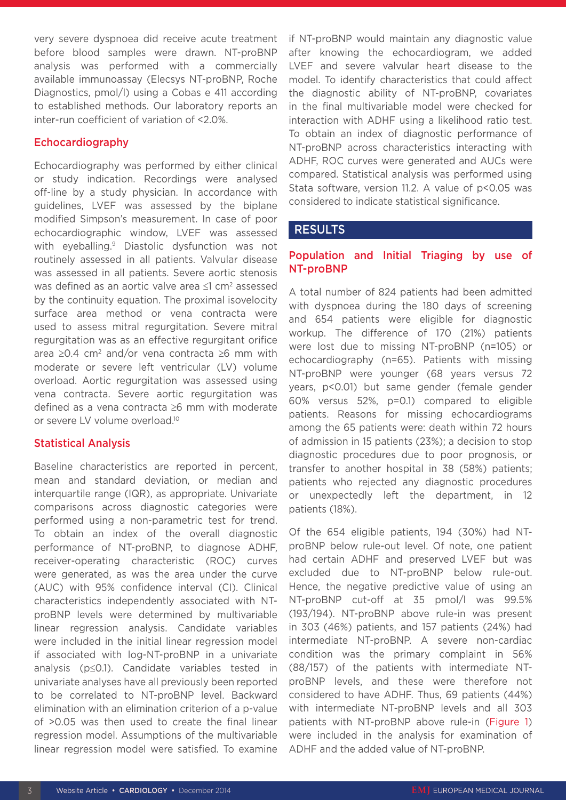very severe dyspnoea did receive acute treatment before blood samples were drawn. NT-proBNP analysis was performed with a commercially available immunoassay (Elecsys NT-proBNP, Roche Diagnostics, pmol/l) using a Cobas e 411 according to established methods. Our laboratory reports an inter-run coefficient of variation of <2.0%.

## Echocardiography

Echocardiography was performed by either clinical or study indication. Recordings were analysed off-line by a study physician. In accordance with guidelines, LVEF was assessed by the biplane modified Simpson's measurement. In case of poor echocardiographic window, LVEF was assessed with eyeballing.<sup>9</sup> Diastolic dysfunction was not routinely assessed in all patients. Valvular disease was assessed in all patients. Severe aortic stenosis was defined as an aortic valve area ≤1 cm<sup>2</sup> assessed by the continuity equation. The proximal isovelocity surface area method or vena contracta were used to assess mitral regurgitation. Severe mitral regurgitation was as an effective regurgitant orifice area ≥0.4 cm<sup>2</sup> and/or vena contracta ≥6 mm with moderate or severe left ventricular (LV) volume overload. Aortic regurgitation was assessed using vena contracta. Severe aortic regurgitation was defined as a vena contracta ≥6 mm with moderate or severe LV volume overload.10

## Statistical Analysis

Baseline characteristics are reported in percent, mean and standard deviation, or median and interquartile range (IQR), as appropriate. Univariate comparisons across diagnostic categories were performed using a non-parametric test for trend. To obtain an index of the overall diagnostic performance of NT-proBNP, to diagnose ADHF, receiver-operating characteristic (ROC) curves were generated, as was the area under the curve (AUC) with 95% confidence interval (CI). Clinical characteristics independently associated with NTproBNP levels were determined by multivariable linear regression analysis. Candidate variables were included in the initial linear regression model if associated with log-NT-proBNP in a univariate analysis (p≤0.1). Candidate variables tested in univariate analyses have all previously been reported to be correlated to NT-proBNP level. Backward elimination with an elimination criterion of a p-value of >0.05 was then used to create the final linear regression model. Assumptions of the multivariable linear regression model were satisfied. To examine

if NT-proBNP would maintain any diagnostic value after knowing the echocardiogram, we added LVEF and severe valvular heart disease to the model. To identify characteristics that could affect the diagnostic ability of NT-proBNP, covariates in the final multivariable model were checked for interaction with ADHF using a likelihood ratio test. To obtain an index of diagnostic performance of NT-proBNP across characteristics interacting with ADHF, ROC curves were generated and AUCs were compared. Statistical analysis was performed using Stata software, version 11.2. A value of p<0.05 was considered to indicate statistical significance.

## RESULTS

## Population and Initial Triaging by use of NT-proBNP

A total number of 824 patients had been admitted with dyspnoea during the 180 days of screening and 654 patients were eligible for diagnostic workup. The difference of 170 (21%) patients were lost due to missing NT-proBNP (n=105) or echocardiography (n=65). Patients with missing NT-proBNP were younger (68 years versus 72 years, p<0.01) but same gender (female gender 60% versus 52%, p=0.1) compared to eligible patients. Reasons for missing echocardiograms among the 65 patients were: death within 72 hours of admission in 15 patients (23%); a decision to stop diagnostic procedures due to poor prognosis, or transfer to another hospital in 38 (58%) patients; patients who rejected any diagnostic procedures or unexpectedly left the department, in 12 patients (18%).

Of the 654 eligible patients, 194 (30%) had NTproBNP below rule-out level. Of note, one patient had certain ADHF and preserved LVEF but was excluded due to NT-proBNP below rule-out. Hence, the negative predictive value of using an NT-proBNP cut-off at 35 pmol/l was 99.5% (193/194). NT-proBNP above rule-in was present in 303 (46%) patients, and 157 patients (24%) had intermediate NT-proBNP. A severe non-cardiac condition was the primary complaint in 56% (88/157) of the patients with intermediate NTproBNP levels, and these were therefore not considered to have ADHF. Thus, 69 patients (44%) with intermediate NT-proBNP levels and all 303 patients with NT-proBNP above rule-in (Figure 1) were included in the analysis for examination of ADHF and the added value of NT-proBNP.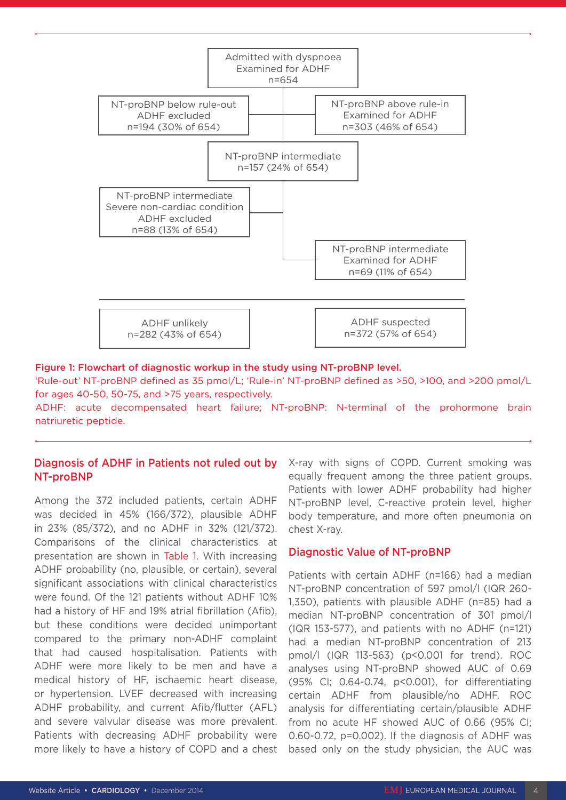

#### Figure 1: Flowchart of diagnostic workup in the study using NT-proBNP level.

'Rule-out' NT-proBNP defined as 35 pmol/L; 'Rule-in' NT-proBNP defined as >50, >100, and >200 pmol/L for ages 40-50, 50-75, and >75 years, respectively.

ADHF: acute decompensated heart failure; NT-proBNP: N-terminal of the prohormone brain natriuretic peptide.

## Diagnosis of ADHF in Patients not ruled out by NT-proBNP

Among the 372 included patients, certain ADHF was decided in 45% (166/372), plausible ADHF in 23% (85/372), and no ADHF in 32% (121/372). Comparisons of the clinical characteristics at presentation are shown in Table 1. With increasing ADHF probability (no, plausible, or certain), several significant associations with clinical characteristics were found. Of the 121 patients without ADHF 10% had a history of HF and 19% atrial fibrillation (Afib), but these conditions were decided unimportant compared to the primary non-ADHF complaint that had caused hospitalisation. Patients with ADHF were more likely to be men and have a medical history of HF, ischaemic heart disease, or hypertension. LVEF decreased with increasing ADHF probability, and current Afib/flutter (AFL) and severe valvular disease was more prevalent. Patients with decreasing ADHF probability were more likely to have a history of COPD and a chest X-ray with signs of COPD. Current smoking was equally frequent among the three patient groups. Patients with lower ADHF probability had higher NT-proBNP level, C-reactive protein level, higher body temperature, and more often pneumonia on chest X-ray.

#### Diagnostic Value of NT-proBNP

Patients with certain ADHF (n=166) had a median NT-proBNP concentration of 597 pmol/l (IQR 260- 1,350), patients with plausible ADHF (n=85) had a median NT-proBNP concentration of 301 pmol/l (IQR 153-577), and patients with no ADHF (n=121) had a median NT-proBNP concentration of 213 pmol/l (IQR 113-563) (p<0.001 for trend). ROC analyses using NT-proBNP showed AUC of 0.69 (95% CI; 0.64-0.74, p<0.001), for differentiating certain ADHF from plausible/no ADHF. ROC analysis for differentiating certain/plausible ADHF from no acute HF showed AUC of 0.66 (95% CI; 0.60-0.72, p=0.002). If the diagnosis of ADHF was based only on the study physician, the AUC was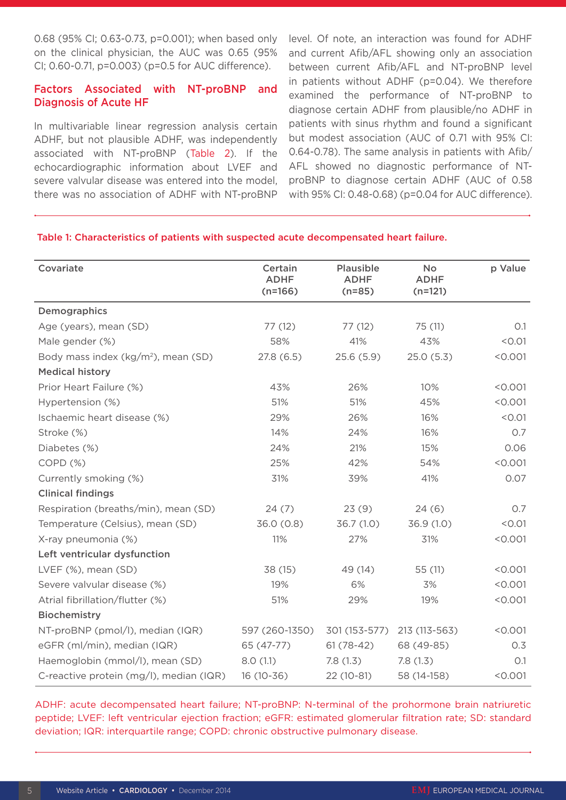0.68 (95% CI; 0.63-0.73, p=0.001); when based only on the clinical physician, the AUC was 0.65 (95% CI; 0.60-0.71, p=0.003) (p=0.5 for AUC difference).

## Factors Associated with NT-proBNP and Diagnosis of Acute HF

In multivariable linear regression analysis certain ADHF, but not plausible ADHF, was independently associated with NT-proBNP (Table 2). If the echocardiographic information about LVEF and severe valvular disease was entered into the model, there was no association of ADHF with NT-proBNP level. Of note, an interaction was found for ADHF and current Afib/AFL showing only an association between current Afib/AFL and NT-proBNP level in patients without ADHF (p=0.04). We therefore examined the performance of NT-proBNP to diagnose certain ADHF from plausible/no ADHF in patients with sinus rhythm and found a significant but modest association (AUC of 0.71 with 95% CI: 0.64-0.78). The same analysis in patients with Afib/ AFL showed no diagnostic performance of NTproBNP to diagnose certain ADHF (AUC of 0.58 with 95% CI: 0.48-0.68) (p=0.04 for AUC difference).

#### Table 1: Characteristics of patients with suspected acute decompensated heart failure.

| Covariate                               | Certain<br><b>ADHF</b><br>$(n=166)$ | <b>Plausible</b><br><b>ADHF</b><br>$(n=85)$ | <b>No</b><br><b>ADHF</b><br>$(n=121)$ | p Value |
|-----------------------------------------|-------------------------------------|---------------------------------------------|---------------------------------------|---------|
| Demographics                            |                                     |                                             |                                       |         |
| Age (years), mean (SD)                  | 77(12)                              | 77(12)                                      | 75 (11)                               | O.1     |
| Male gender (%)                         | 58%                                 | 41%                                         | 43%                                   | < 0.01  |
| Body mass index $(kg/m2)$ , mean (SD)   | 27.8(6.5)                           | 25.6(5.9)                                   | 25.0(5.3)                             | < 0.001 |
| <b>Medical history</b>                  |                                     |                                             |                                       |         |
| Prior Heart Failure (%)                 | 43%                                 | 26%                                         | 10%                                   | < 0.001 |
| Hypertension (%)                        | 51%                                 | 51%                                         | 45%                                   | < 0.001 |
| Ischaemic heart disease (%)             | 29%                                 | 26%                                         | 16%                                   | < 0.01  |
| Stroke (%)                              | 14%                                 | 24%                                         | 16%                                   | O.7     |
| Diabetes (%)                            | 24%                                 | 21%                                         | 15%                                   | 0.06    |
| COPD(%)                                 | 25%                                 | 42%                                         | 54%                                   | < 0.001 |
| Currently smoking (%)                   | 31%                                 | 39%                                         | 41%                                   | 0.07    |
| <b>Clinical findings</b>                |                                     |                                             |                                       |         |
| Respiration (breaths/min), mean (SD)    | 24(7)                               | 23(9)                                       | 24(6)                                 | 0.7     |
| Temperature (Celsius), mean (SD)        | 36.0 (0.8)                          | 36.7(1.0)                                   | 36.9(1.0)                             | < 0.01  |
| X-ray pneumonia (%)                     | 11%                                 | 27%                                         | 31%                                   | < 0.001 |
| Left ventricular dysfunction            |                                     |                                             |                                       |         |
| LVEF (%), mean (SD)                     | 38 (15)                             | 49 (14)                                     | 55 (11)                               | < 0.001 |
| Severe valvular disease (%)             | 19%                                 | 6%                                          | 3%                                    | < 0.001 |
| Atrial fibrillation/flutter (%)         | 51%                                 | 29%                                         | 19%                                   | < 0.001 |
| Biochemistry                            |                                     |                                             |                                       |         |
| NT-proBNP (pmol/l), median (IQR)        | 597 (260-1350)                      | 301 (153-577)                               | 213 (113-563)                         | < 0.001 |
| eGFR (ml/min), median (IQR)             | 65 (47-77)                          | $61(78-42)$                                 | 68 (49-85)                            | 0.3     |
| Haemoglobin (mmol/l), mean (SD)         | 8.0(1.1)                            | 7.8(1.3)                                    | 7.8(1.3)                              | O.1     |
| C-reactive protein (mg/l), median (IQR) | $16(10-36)$                         | 22 (10-81)                                  | 58 (14-158)                           | < 0.001 |

ADHF: acute decompensated heart failure; NT-proBNP: N-terminal of the prohormone brain natriuretic peptide; LVEF: left ventricular ejection fraction; eGFR: estimated glomerular filtration rate; SD: standard deviation; IQR: interquartile range; COPD: chronic obstructive pulmonary disease.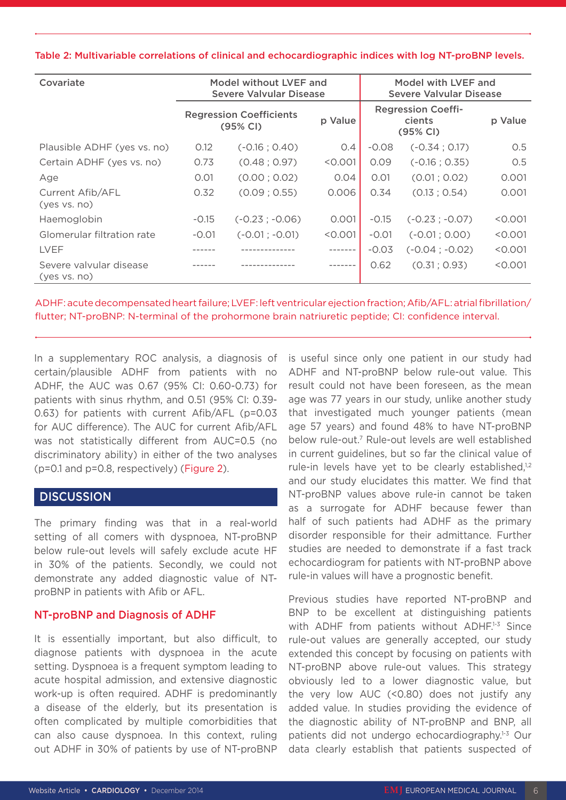| Covariate                               | Model without LVEF and<br>Severe Valvular Disease |                  |         | Model with LVEF and<br>Severe Valvular Disease  |                  |         |
|-----------------------------------------|---------------------------------------------------|------------------|---------|-------------------------------------------------|------------------|---------|
|                                         | <b>Regression Coefficients</b><br>(95% CI)        |                  | p Value | <b>Regression Coeffi-</b><br>cients<br>(95% CI) |                  | p Value |
| Plausible ADHF (yes vs. no)             | 0.12                                              | $(-0.16:0.40)$   | O.4     | $-0.08$                                         | $(-0.34; 0.17)$  | 0.5     |
| Certain ADHF (yes vs. no)               | 0.73                                              | (0.48; 0.97)     | < 0.001 | 0.09                                            | $(-0.16; 0.35)$  | O.5     |
| Age                                     | 0.01                                              | (0.00; 0.02)     | 0.04    | 0.01                                            | (0.01; 0.02)     | 0.001   |
| Current Afib/AFL<br>(yes vs. no)        | 0.32                                              | (0.09; 0.55)     | 0.006   | 0.34                                            | (0.13:0.54)      | 0.001   |
| Haemoglobin                             | $-0.15$                                           | $(-0.23; -0.06)$ | 0.001   | $-0.15$                                         | $(-0.23; -0.07)$ | < 0.001 |
| Glomerular filtration rate              | $-0.01$                                           | $(-0.01; -0.01)$ | < 0.001 | $-0.01$                                         | $(-0.01; 0.00)$  | < 0.001 |
| <b>IVFF</b>                             |                                                   |                  |         | $-0.03$                                         | $(-0.04:-0.02)$  | < 0.001 |
| Severe valvular disease<br>(yes vs. no) |                                                   |                  |         | 0.62                                            | (0.31; 0.93)     | < 0.001 |

Table 2: Multivariable correlations of clinical and echocardiographic indices with log NT-proBNP levels.

ADHF: acute decompensated heart failure; LVEF: left ventricular ejection fraction; Afib/AFL: atrial fibrillation/ flutter; NT-proBNP: N-terminal of the prohormone brain natriuretic peptide; CI: confidence interval.

In a supplementary ROC analysis, a diagnosis of certain/plausible ADHF from patients with no ADHF, the AUC was 0.67 (95% CI: 0.60-0.73) for patients with sinus rhythm, and 0.51 (95% CI: 0.39- 0.63) for patients with current Afib/AFL (p=0.03 for AUC difference). The AUC for current Afib/AFL was not statistically different from AUC=0.5 (no discriminatory ability) in either of the two analyses (p=0.1 and p=0.8, respectively) (Figure 2).

## **DISCUSSION**

The primary finding was that in a real-world setting of all comers with dyspnoea, NT-proBNP below rule-out levels will safely exclude acute HF in 30% of the patients. Secondly, we could not demonstrate any added diagnostic value of NTproBNP in patients with Afib or AFL.

## NT-proBNP and Diagnosis of ADHF

It is essentially important, but also difficult, to diagnose patients with dyspnoea in the acute setting. Dyspnoea is a frequent symptom leading to acute hospital admission, and extensive diagnostic work-up is often required. ADHF is predominantly a disease of the elderly, but its presentation is often complicated by multiple comorbidities that can also cause dyspnoea. In this context, ruling out ADHF in 30% of patients by use of NT-proBNP

is useful since only one patient in our study had ADHF and NT-proBNP below rule-out value. This result could not have been foreseen, as the mean age was 77 years in our study, unlike another study that investigated much younger patients (mean age 57 years) and found 48% to have NT-proBNP below rule-out.7 Rule-out levels are well established in current guidelines, but so far the clinical value of rule-in levels have yet to be clearly established,<sup>1,2</sup> and our study elucidates this matter. We find that NT-proBNP values above rule-in cannot be taken as a surrogate for ADHF because fewer than half of such patients had ADHF as the primary disorder responsible for their admittance. Further studies are needed to demonstrate if a fast track echocardiogram for patients with NT-proBNP above rule-in values will have a prognostic benefit.

Previous studies have reported NT-proBNP and BNP to be excellent at distinguishing patients with ADHF from patients without ADHF.<sup>1-3</sup> Since rule-out values are generally accepted, our study extended this concept by focusing on patients with NT-proBNP above rule-out values. This strategy obviously led to a lower diagnostic value, but the very low AUC (<0.80) does not justify any added value. In studies providing the evidence of the diagnostic ability of NT-proBNP and BNP, all patients did not undergo echocardiography.1-3 Our data clearly establish that patients suspected of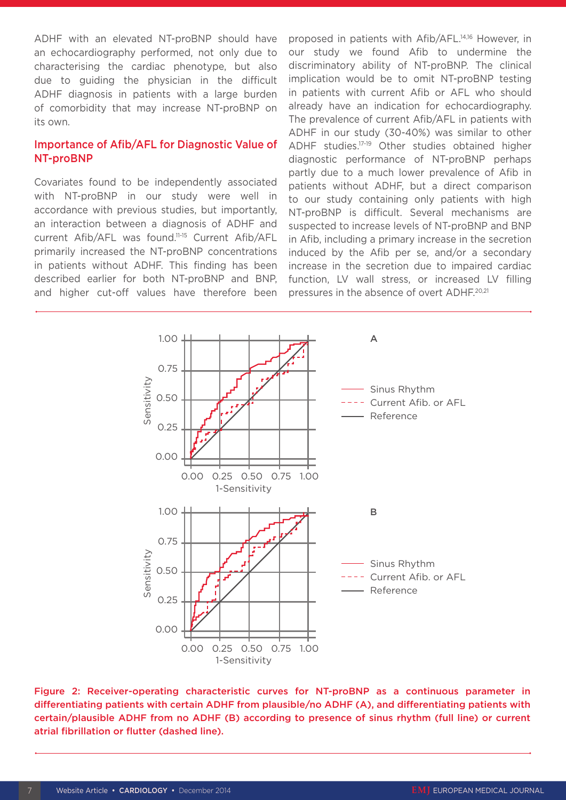ADHF with an elevated NT-proBNP should have an echocardiography performed, not only due to characterising the cardiac phenotype, but also due to guiding the physician in the difficult ADHF diagnosis in patients with a large burden of comorbidity that may increase NT-proBNP on its own.

## Importance of Afib/AFL for Diagnostic Value of NT-proBNP

Covariates found to be independently associated with NT-proBNP in our study were well in accordance with previous studies, but importantly, an interaction between a diagnosis of ADHF and current Afib/AFL was found.11-15 Current Afib/AFL primarily increased the NT-proBNP concentrations in patients without ADHF. This finding has been described earlier for both NT-proBNP and BNP, and higher cut-off values have therefore been proposed in patients with Afib/AFL.14,16 However, in our study we found Afib to undermine the discriminatory ability of NT-proBNP. The clinical implication would be to omit NT-proBNP testing in patients with current Afib or AFL who should already have an indication for echocardiography. The prevalence of current Afib/AFL in patients with ADHF in our study (30-40%) was similar to other ADHF studies.17-19 Other studies obtained higher diagnostic performance of NT-proBNP perhaps partly due to a much lower prevalence of Afib in patients without ADHF, but a direct comparison to our study containing only patients with high NT-proBNP is difficult. Several mechanisms are suspected to increase levels of NT-proBNP and BNP in Afib, including a primary increase in the secretion induced by the Afib per se, and/or a secondary increase in the secretion due to impaired cardiac function, LV wall stress, or increased LV filling pressures in the absence of overt ADHF.<sup>20,21</sup>



Figure 2: Receiver-operating characteristic curves for NT-proBNP as a continuous parameter in differentiating patients with certain ADHF from plausible/no ADHF (A), and differentiating patients with certain/plausible ADHF from no ADHF (B) according to presence of sinus rhythm (full line) or current atrial fibrillation or flutter (dashed line).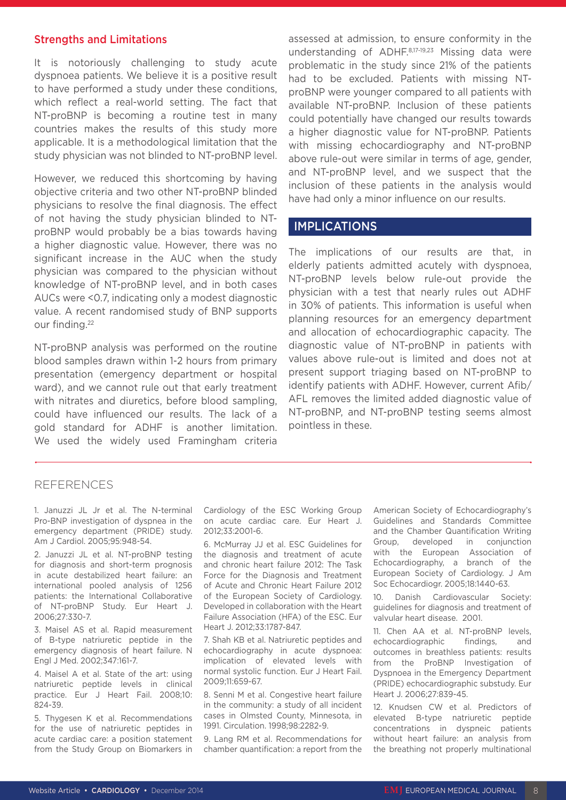#### Strengths and Limitations

It is notoriously challenging to study acute dyspnoea patients. We believe it is a positive result to have performed a study under these conditions, which reflect a real-world setting. The fact that NT-proBNP is becoming a routine test in many countries makes the results of this study more applicable. It is a methodological limitation that the study physician was not blinded to NT-proBNP level.

However, we reduced this shortcoming by having objective criteria and two other NT-proBNP blinded physicians to resolve the final diagnosis. The effect of not having the study physician blinded to NTproBNP would probably be a bias towards having a higher diagnostic value. However, there was no significant increase in the AUC when the study physician was compared to the physician without knowledge of NT-proBNP level, and in both cases AUCs were <0.7, indicating only a modest diagnostic value. A recent randomised study of BNP supports our finding.22

NT-proBNP analysis was performed on the routine blood samples drawn within 1-2 hours from primary presentation (emergency department or hospital ward), and we cannot rule out that early treatment with nitrates and diuretics, before blood sampling, could have influenced our results. The lack of a gold standard for ADHF is another limitation. We used the widely used Framingham criteria

assessed at admission, to ensure conformity in the understanding of ADHF.8,17-19,23 Missing data were problematic in the study since 21% of the patients had to be excluded. Patients with missing NTproBNP were younger compared to all patients with available NT-proBNP. Inclusion of these patients could potentially have changed our results towards a higher diagnostic value for NT-proBNP. Patients with missing echocardiography and NT-proBNP above rule-out were similar in terms of age, gender, and NT-proBNP level, and we suspect that the inclusion of these patients in the analysis would have had only a minor influence on our results.

### IMPLICATIONS

The implications of our results are that, in elderly patients admitted acutely with dyspnoea, NT-proBNP levels below rule-out provide the physician with a test that nearly rules out ADHF in 30% of patients. This information is useful when planning resources for an emergency department and allocation of echocardiographic capacity. The diagnostic value of NT-proBNP in patients with values above rule-out is limited and does not at present support triaging based on NT-proBNP to identify patients with ADHF. However, current Afib/ AFL removes the limited added diagnostic value of NT-proBNP, and NT-proBNP testing seems almost pointless in these.

#### REFERENCES

1. Januzzi JL Jr et al. The N-terminal Pro-BNP investigation of dyspnea in the emergency department (PRIDE) study. Am J Cardiol. 2005;95:948-54.

2. Januzzi JL et al. NT-proBNP testing for diagnosis and short-term prognosis in acute destabilized heart failure: an international pooled analysis of 1256 patients: the International Collaborative of NT-proBNP Study. Eur Heart J. 2006;27:330-7.

3. Maisel AS et al. Rapid measurement of B-type natriuretic peptide in the emergency diagnosis of heart failure. N Engl J Med. 2002;347:161-7.

4. Maisel A et al. State of the art: using natriuretic peptide levels in clinical practice. Eur J Heart Fail. 2008;10: 824-39.

5. Thygesen K et al. Recommendations for the use of natriuretic peptides in acute cardiac care: a position statement from the Study Group on Biomarkers in

Cardiology of the ESC Working Group on acute cardiac care. Eur Heart J. 2012;33:2001-6.

6. McMurray JJ et al. ESC Guidelines for the diagnosis and treatment of acute and chronic heart failure 2012: The Task Force for the Diagnosis and Treatment of Acute and Chronic Heart Failure 2012 of the European Society of Cardiology. Developed in collaboration with the Heart Failure Association (HFA) of the ESC. Eur Heart J. 2012;33:1787-847.

7. Shah KB et al. Natriuretic peptides and echocardiography in acute dyspnoea: implication of elevated levels with normal systolic function. Eur J Heart Fail. 2009;11:659-67.

8. Senni M et al. Congestive heart failure in the community: a study of all incident cases in Olmsted County, Minnesota, in 1991. Circulation. 1998;98:2282-9.

9. Lang RM et al. Recommendations for chamber quantification: a report from the American Society of Echocardiography's Guidelines and Standards Committee and the Chamber Quantification Writing Group, developed in conjunction with the European Association of Echocardiography, a branch of the European Society of Cardiology. J Am Soc Echocardiogr. 2005;18:1440-63.

10. Danish Cardiovascular Society: guidelines for diagnosis and treatment of valvular heart disease. 2001.

11. Chen AA et al. NT-proBNP levels, echocardiographic findings, and outcomes in breathless patients: results from the ProBNP Investigation of Dyspnoea in the Emergency Department (PRIDE) echocardiographic substudy. Eur Heart J. 2006;27:839-45.

12. Knudsen CW et al. Predictors of elevated B-type natriuretic peptide concentrations in dyspneic patients without heart failure: an analysis from the breathing not properly multinational